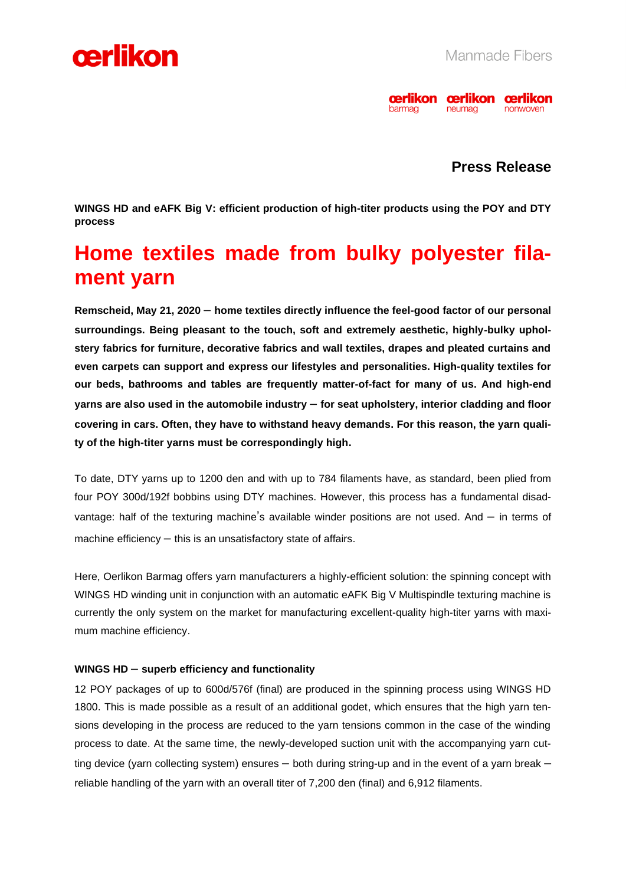



# **Press Release**

**WINGS HD and eAFK Big V: efficient production of high-titer products using the POY and DTY process** 

# **Home textiles made from bulky polyester filament yarn**

**Remscheid, May 21, 2020** – **home textiles directly influence the feel-good factor of our personal surroundings. Being pleasant to the touch, soft and extremely aesthetic, highly-bulky upholstery fabrics for furniture, decorative fabrics and wall textiles, drapes and pleated curtains and even carpets can support and express our lifestyles and personalities. High-quality textiles for our beds, bathrooms and tables are frequently matter-of-fact for many of us. And high-end yarns are also used in the automobile industry** – **for seat upholstery, interior cladding and floor covering in cars. Often, they have to withstand heavy demands. For this reason, the yarn quality of the high-titer yarns must be correspondingly high.** 

To date, DTY yarns up to 1200 den and with up to 784 filaments have, as standard, been plied from four POY 300d/192f bobbins using DTY machines. However, this process has a fundamental disadvantage: half of the texturing machine's available winder positions are not used. And – in terms of machine efficiency – this is an unsatisfactory state of affairs.

Here, Oerlikon Barmag offers yarn manufacturers a highly-efficient solution: the spinning concept with WINGS HD winding unit in conjunction with an automatic eAFK Big V Multispindle texturing machine is currently the only system on the market for manufacturing excellent-quality high-titer yarns with maximum machine efficiency.

## **WINGS HD** – **superb efficiency and functionality**

12 POY packages of up to 600d/576f (final) are produced in the spinning process using WINGS HD 1800. This is made possible as a result of an additional godet, which ensures that the high yarn tensions developing in the process are reduced to the yarn tensions common in the case of the winding process to date. At the same time, the newly-developed suction unit with the accompanying yarn cutting device (yarn collecting system) ensures – both during string-up and in the event of a yarn break – reliable handling of the yarn with an overall titer of 7,200 den (final) and 6,912 filaments.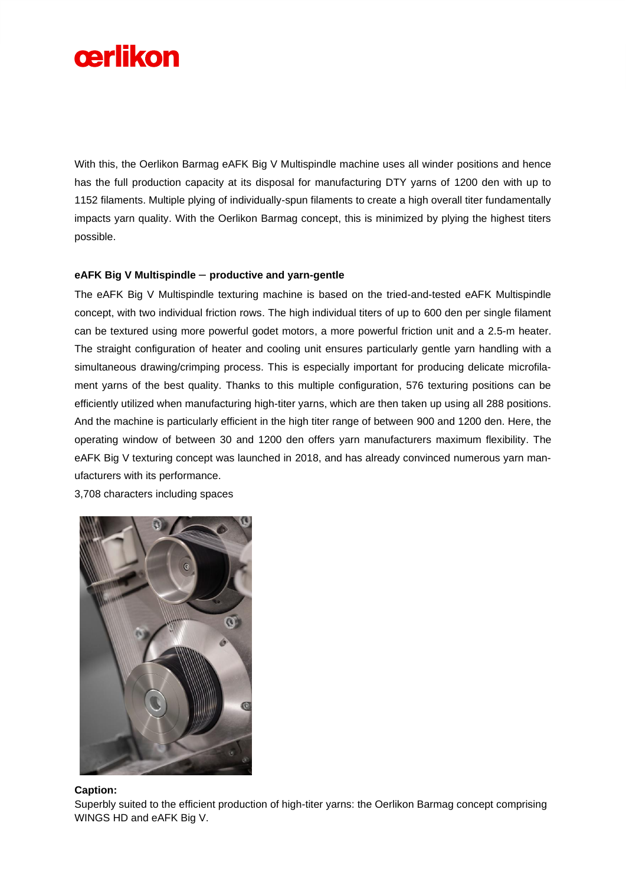

With this, the Oerlikon Barmag eAFK Big V Multispindle machine uses all winder positions and hence has the full production capacity at its disposal for manufacturing DTY yarns of 1200 den with up to 1152 filaments. Multiple plying of individually-spun filaments to create a high overall titer fundamentally impacts yarn quality. With the Oerlikon Barmag concept, this is minimized by plying the highest titers possible.

#### **eAFK Big V Multispindle** – **productive and yarn-gentle**

The eAFK Big V Multispindle texturing machine is based on the tried-and-tested eAFK Multispindle concept, with two individual friction rows. The high individual titers of up to 600 den per single filament can be textured using more powerful godet motors, a more powerful friction unit and a 2.5-m heater. The straight configuration of heater and cooling unit ensures particularly gentle yarn handling with a simultaneous drawing/crimping process. This is especially important for producing delicate microfilament yarns of the best quality. Thanks to this multiple configuration, 576 texturing positions can be efficiently utilized when manufacturing high-titer yarns, which are then taken up using all 288 positions. And the machine is particularly efficient in the high titer range of between 900 and 1200 den. Here, the operating window of between 30 and 1200 den offers yarn manufacturers maximum flexibility. The eAFK Big V texturing concept was launched in 2018, and has already convinced numerous yarn manufacturers with its performance.

3,708 characters including spaces



#### **Caption:**

Superbly suited to the efficient production of high-titer yarns: the Oerlikon Barmag concept comprising WINGS HD and eAFK Big V.